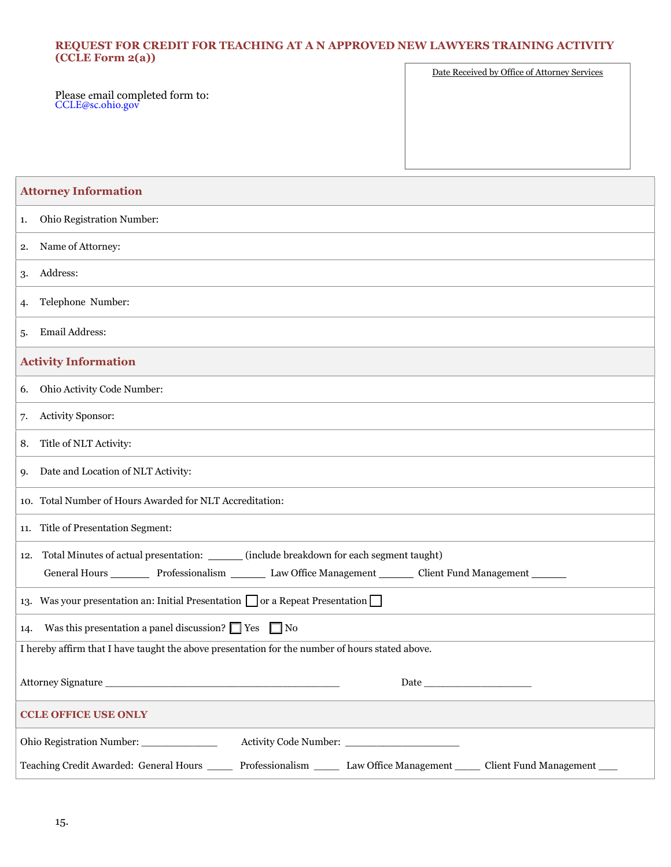## **REQUEST FOR CREDIT FOR TEACHING AT A N APPROVED NEW LAWYERS TRAINING ACTIVITY (CCLE Form 2(a))**  $\sqrt{2}$ Date Received by Office of Attorney Service

٦

|                                                     | Date Received by Office of Attorney Services |  |
|-----------------------------------------------------|----------------------------------------------|--|
| Please email completed form to:<br>CCLE@sc.ohio.gov |                                              |  |
|                                                     |                                              |  |
|                                                     |                                              |  |

| <b>Attorney Information</b>                                                                                                                                                           |  |
|---------------------------------------------------------------------------------------------------------------------------------------------------------------------------------------|--|
| Ohio Registration Number:<br>1.                                                                                                                                                       |  |
| Name of Attorney:<br>2.                                                                                                                                                               |  |
| Address:<br>3.                                                                                                                                                                        |  |
| Telephone Number:<br>4.                                                                                                                                                               |  |
| Email Address:<br>5.                                                                                                                                                                  |  |
| <b>Activity Information</b>                                                                                                                                                           |  |
| Ohio Activity Code Number:<br>6.                                                                                                                                                      |  |
| Activity Sponsor:<br>7.                                                                                                                                                               |  |
| Title of NLT Activity:<br>8.                                                                                                                                                          |  |
| Date and Location of NLT Activity:<br>9.                                                                                                                                              |  |
| 10. Total Number of Hours Awarded for NLT Accreditation:                                                                                                                              |  |
| 11. Title of Presentation Segment:                                                                                                                                                    |  |
| Total Minutes of actual presentation: _______ (include breakdown for each segment taught)<br>12.<br>General Hours Professionalism Law Office Management Client Fund Management ______ |  |
| 13. Was your presentation an: Initial Presentation $\Box$ or a Repeat Presentation $\Box$                                                                                             |  |
| Was this presentation a panel discussion? $\Box$ Yes $\Box$ No<br>14.                                                                                                                 |  |
| I hereby affirm that I have taught the above presentation for the number of hours stated above.                                                                                       |  |
| Attorney Signature                                                                                                                                                                    |  |
| <b>CCLE OFFICE USE ONLY</b>                                                                                                                                                           |  |
| Ohio Registration Number: ______________                                                                                                                                              |  |
| Teaching Credit Awarded: General Hours ______ Professionalism ______ Law Office Management _____ Client Fund Management ____                                                          |  |